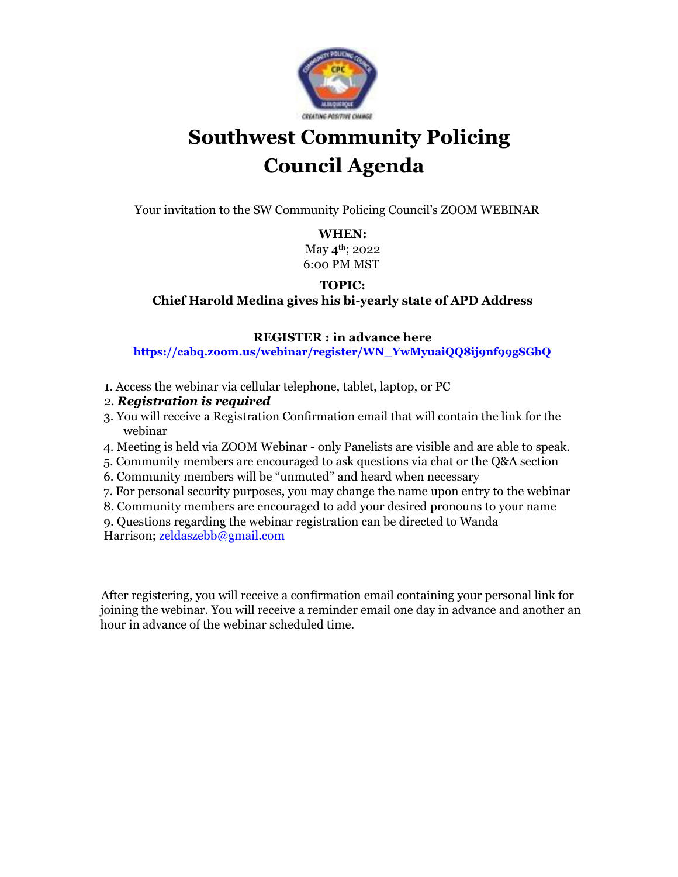

# **Southwest Community Policing Council Agenda**

Your invitation to the SW Community Policing Council's ZOOM WEBINAR

#### **WHEN:**

May 4<sup>th</sup>; 2022 6:00 PM MST

### **TOPIC:**

**Chief Harold Medina gives his bi-yearly state of APD Address**

#### **REGISTER : in advance here**

**https://cabq.zoom.us/webinar/register/WN\_YwMyuaiQQ8ij9nf99gSGbQ**

- 1. Access the webinar via cellular telephone, tablet, laptop, or PC
- 2. *Registration is required*
- 3. You will receive a Registration Confirmation email that will contain the link for the webinar
- 4. Meeting is held via ZOOM Webinar only Panelists are visible and are able to speak.
- 5. Community members are encouraged to ask questions via chat or the Q&A section
- 6. Community members will be "unmuted" and heard when necessary
- 7. For personal security purposes, you may change the name upon entry to the webinar
- 8. Community members are encouraged to add your desired pronouns to your name

9. Questions regarding the webinar registration can be directed to Wanda Harrison[; zeldaszebb@gmail.com](mailto:zeldaszebb@gmail.com)

After registering, you will receive a confirmation email containing your personal link for joining the webinar. You will receive a reminder email one day in advance and another an hour in advance of the webinar scheduled time.